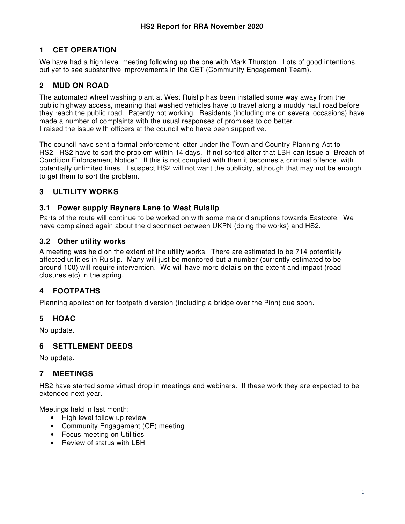### **1 CET OPERATION**

We have had a high level meeting following up the one with Mark Thurston. Lots of good intentions, but yet to see substantive improvements in the CET (Community Engagement Team).

# **2 MUD ON ROAD**

The automated wheel washing plant at West Ruislip has been installed some way away from the public highway access, meaning that washed vehicles have to travel along a muddy haul road before they reach the public road. Patently not working. Residents (including me on several occasions) have made a number of complaints with the usual responses of promises to do better. I raised the issue with officers at the council who have been supportive.

The council have sent a formal enforcement letter under the Town and Country Planning Act to HS2. HS2 have to sort the problem within 14 days. If not sorted after that LBH can issue a "Breach of Condition Enforcement Notice". If this is not complied with then it becomes a criminal offence, with potentially unlimited fines. I suspect HS2 will not want the publicity, although that may not be enough to get them to sort the problem.

### **3 ULTILITY WORKS**

#### **3.1 Power supply Rayners Lane to West Ruislip**

Parts of the route will continue to be worked on with some major disruptions towards Eastcote. We have complained again about the disconnect between UKPN (doing the works) and HS2.

#### **3.2 Other utility works**

A meeting was held on the extent of the utility works. There are estimated to be 714 potentially affected utilities in Ruislip. Many will just be monitored but a number (currently estimated to be around 100) will require intervention. We will have more details on the extent and impact (road closures etc) in the spring.

### **4 FOOTPATHS**

Planning application for footpath diversion (including a bridge over the Pinn) due soon.

### **5 HOAC**

No update.

### **6 SETTLEMENT DEEDS**

No update.

### **7 MEETINGS**

HS2 have started some virtual drop in meetings and webinars. If these work they are expected to be extended next year.

Meetings held in last month:

- High level follow up review
- Community Engagement (CE) meeting
- Focus meeting on Utilities
- Review of status with LBH